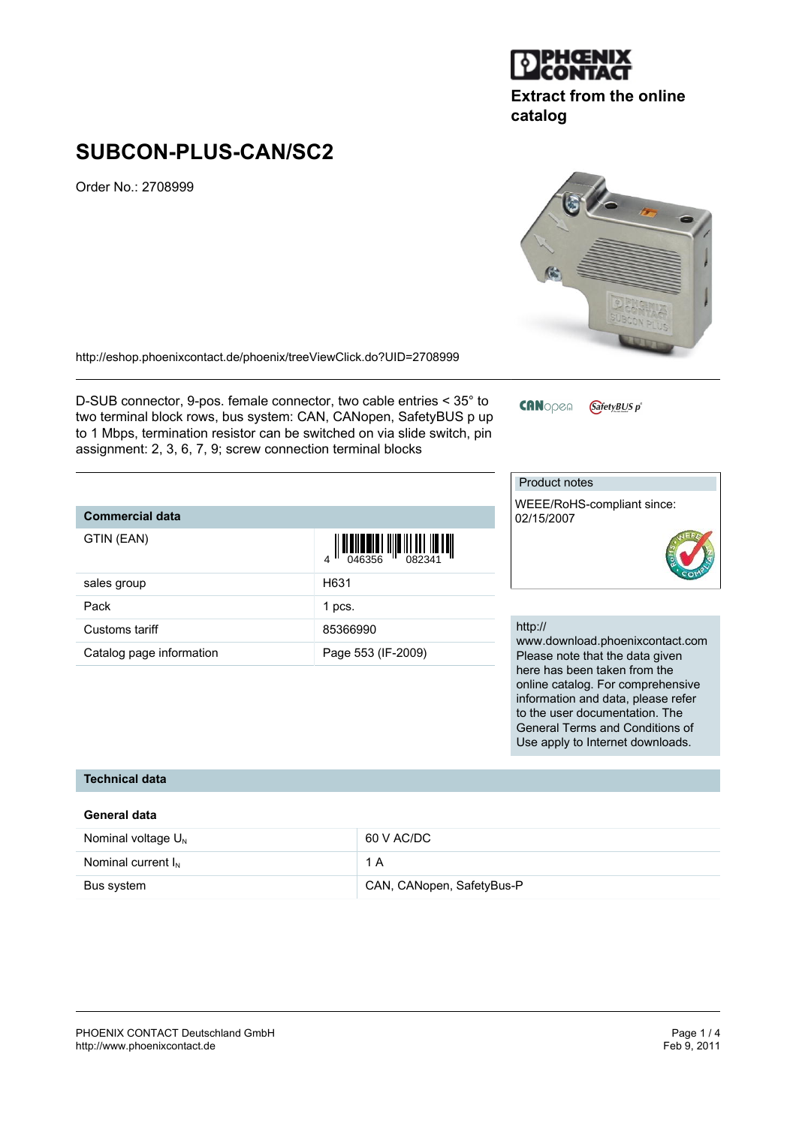

# **Extract from the online catalog**

# **SUBCON-PLUS-CAN/SC2**

Order No.: 2708999

<http://eshop.phoenixcontact.de/phoenix/treeViewClick.do?UID=2708999>

D-SUB connector, 9-pos. female connector, two cable entries < 35° to two terminal block rows, bus system: CAN, CANopen, SafetyBUS p up to 1 Mbps, termination resistor can be switched on via slide switch, pin assignment: 2, 3, 6, 7, 9; screw connection terminal blocks

#### **CAN**open GafetyBUS p<sup>®</sup>

to the user documentation. The General Terms and Conditions of Use apply to Internet downloads.

|                          |                                                                                     | <b>Product notes</b>                                                                                    |
|--------------------------|-------------------------------------------------------------------------------------|---------------------------------------------------------------------------------------------------------|
| <b>Commercial data</b>   |                                                                                     | WEEE/RoHS-compliant since:<br>02/15/2007                                                                |
| GTIN (EAN)               | $\begin{array}{c} 1 \\ 046356 \end{array} \begin{array}{c} 1 \\ 082341 \end{array}$ |                                                                                                         |
| sales group              | H631                                                                                |                                                                                                         |
| Pack                     | 1 pcs.                                                                              |                                                                                                         |
| Customs tariff           | 85366990                                                                            | http://                                                                                                 |
| Catalog page information | Page 553 (IF-2009)                                                                  | www.download.phoenixcontact.com<br>Please note that the data given                                      |
|                          |                                                                                     | here has been taken from the<br>online catalog. For comprehensive<br>information and data, please refer |

# **Technical data**

#### **General data**

| Nominal voltage $U_{N}$ | 60 V AC/DC                |
|-------------------------|---------------------------|
| Nominal current $I_{N}$ | 1 A                       |
| Bus system              | CAN, CANopen, SafetyBus-P |

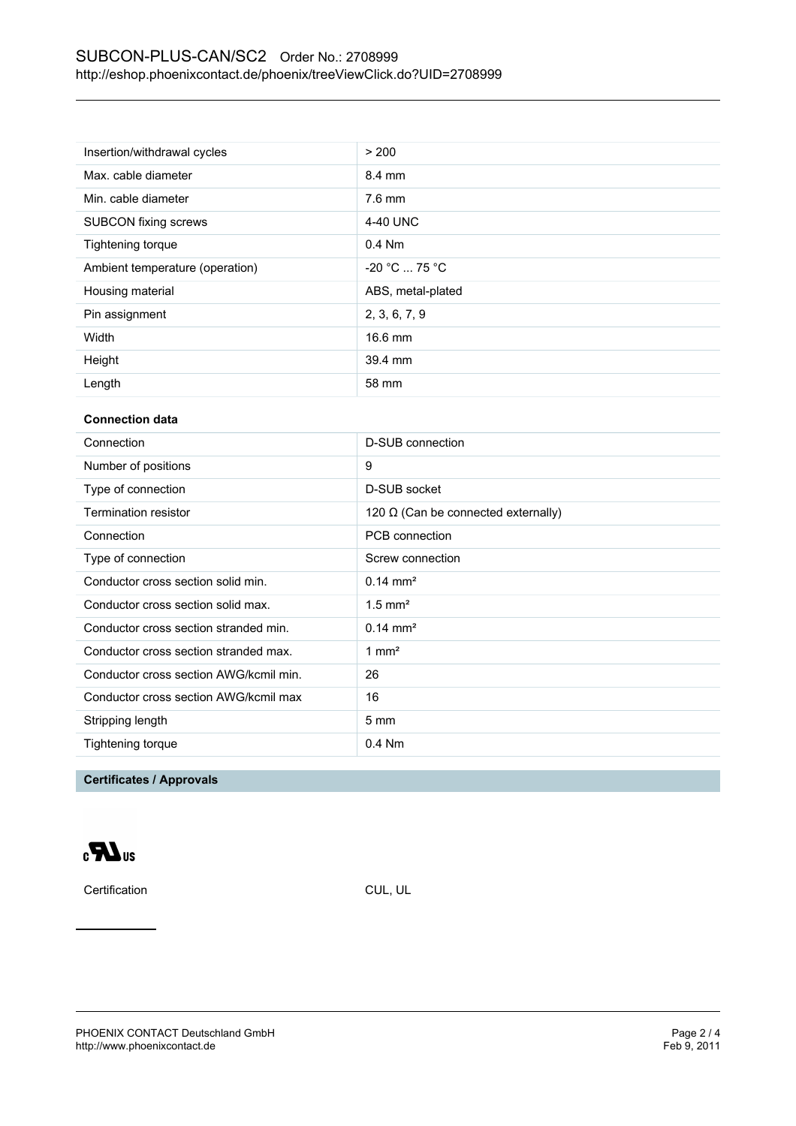| Insertion/withdrawal cycles     | > 200             |
|---------------------------------|-------------------|
| Max. cable diameter             | 8.4 mm            |
| Min. cable diameter             | $7.6$ mm          |
| <b>SUBCON fixing screws</b>     | 4-40 UNC          |
| Tightening torque               | $0.4$ Nm          |
| Ambient temperature (operation) | $-20 °C  75 °C$   |
| Housing material                | ABS, metal-plated |
| Pin assignment                  | 2, 3, 6, 7, 9     |
| Width                           | 16.6 mm           |
| Height                          | 39.4 mm           |
| Length                          | 58 mm             |

### **Connection data**

| Connection                             | D-SUB connection                           |
|----------------------------------------|--------------------------------------------|
| Number of positions                    | 9                                          |
| Type of connection                     | D-SUB socket                               |
| Termination resistor                   | 120 $\Omega$ (Can be connected externally) |
| Connection                             | PCB connection                             |
| Type of connection                     | Screw connection                           |
| Conductor cross section solid min.     | $0.14 \text{ mm}^2$                        |
| Conductor cross section solid max.     | $1.5$ mm <sup>2</sup>                      |
| Conductor cross section stranded min.  | $0.14 \text{ mm}^2$                        |
| Conductor cross section stranded max.  | 1 mm <sup>2</sup>                          |
| Conductor cross section AWG/kcmil min. | 26                                         |
| Conductor cross section AWG/kcmil max  | 16                                         |
| Stripping length                       | $5 \text{ mm}$                             |
| Tightening torque                      | $0.4$ Nm                                   |
|                                        |                                            |

# **Certificates / Approvals**



Certification CUL, UL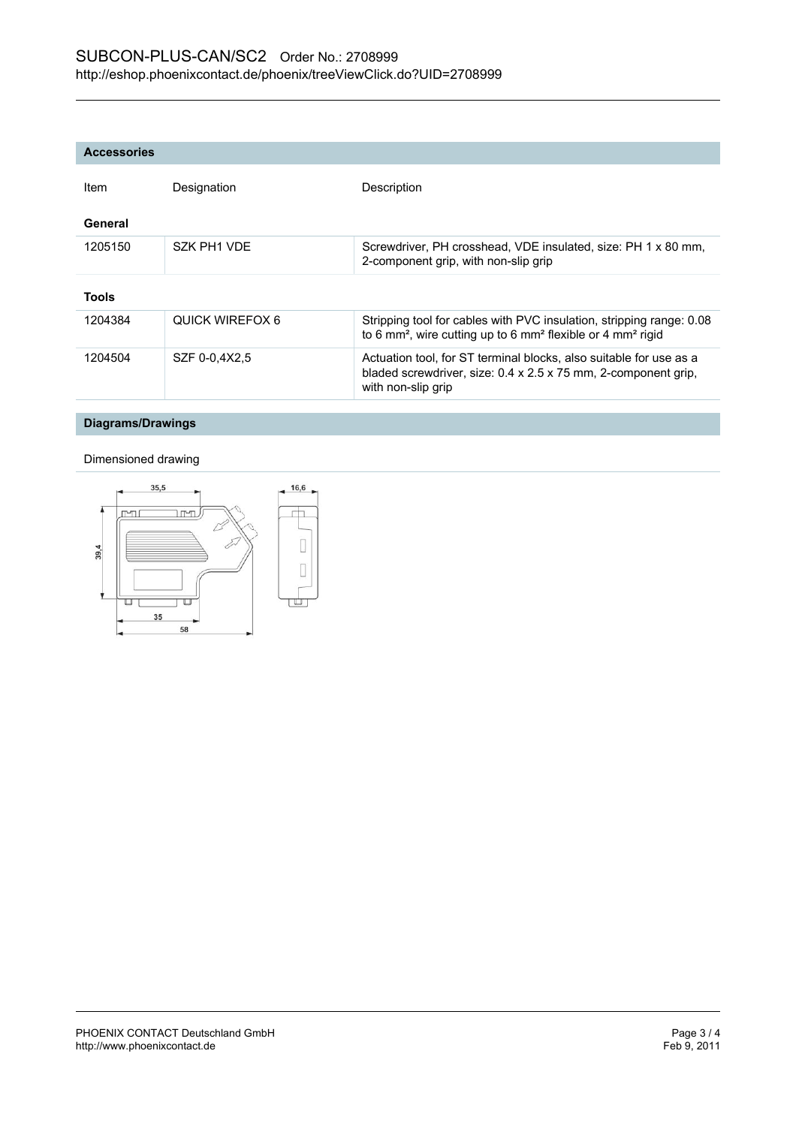| Item         | Designation     | Description                                                                                                                                                             |
|--------------|-----------------|-------------------------------------------------------------------------------------------------------------------------------------------------------------------------|
| General      |                 |                                                                                                                                                                         |
| 1205150      | SZK PH1 VDF     | Screwdriver, PH crosshead, VDE insulated, size: PH 1 x 80 mm,<br>2-component grip, with non-slip grip                                                                   |
| <b>Tools</b> |                 |                                                                                                                                                                         |
| 1204384      | QUICK WIRFFOX 6 | Stripping tool for cables with PVC insulation, stripping range: 0.08<br>to 6 mm <sup>2</sup> , wire cutting up to 6 mm <sup>2</sup> flexible or 4 mm <sup>2</sup> rigid |
| 1204504      | SZF 0-0.4X2.5   | Actuation tool, for ST terminal blocks, also suitable for use as a<br>bladed screwdriver, size: 0.4 x 2.5 x 75 mm, 2-component grip,<br>with non-slip grip              |

# **Diagrams/Drawings**

#### Dimensioned drawing